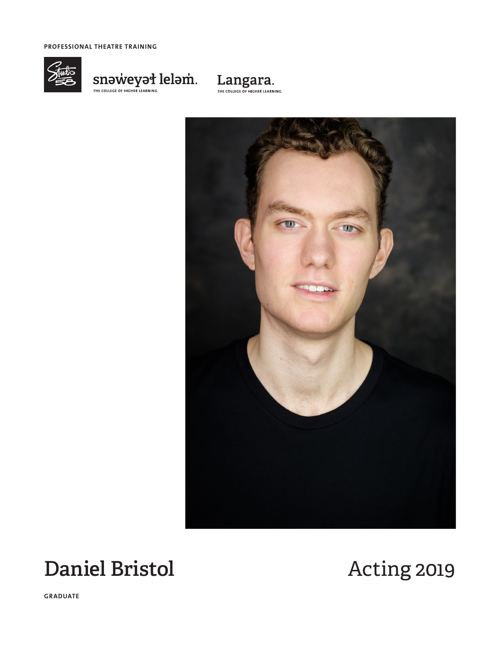**PROFESSIONAL THEATRE TRAINING**



 $\underset{\text{The context of HIGER EARNINGC}}{\text{SINBCHER EARNINGC}} \text{leapmin.}$ 





# **Daniel Bristol Acting 2019**

**GRADUATE**